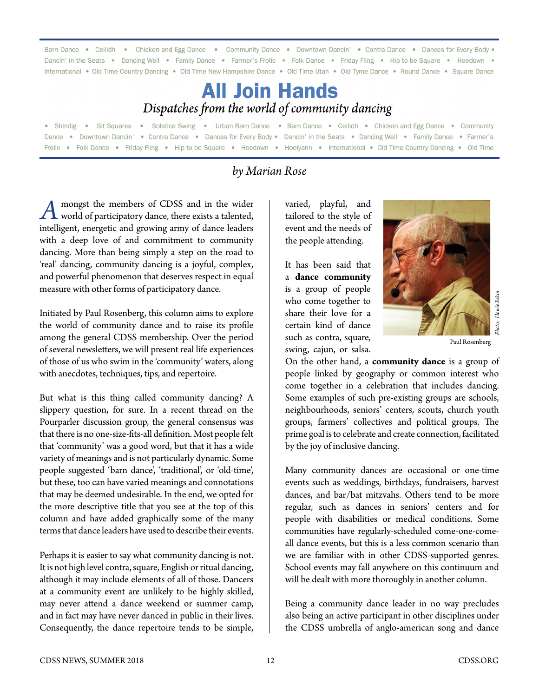Barn Dance . Ceilidh . Chicken and Egg Dance . Community Dance . Downtown Dancin' . Contra Dance . Dances for Every Body . Dancin' in the Seats . Dancing Well . Family Dance . Farmer's Frolic . Folk Dance . Friday Fling . Hip to be Square . Hoedown . International . Old Time Country Dancing . Old Time New Hampshire Dance . Old Time Utah . Old Tyme Dance . Round Dance . Square Dance

## **All Join Hands** Dispatches from the world of community dancing

Sit Squares . Solstice Swing . Urban Barn Dance . Barn Dance . Ceilidh . Chicken and Egg Dance . Community • Shindig • Downtown Dancin' • Contra Dance • Dances for Every Body • Dancin' in the Seats • Dancing Well • Family Dance • Farmer's • Folk Dance • Friday Fling • Hip to be Square • Hoedown • Hoolyann • International • Old Time Country Dancing • Old Time Frolic

## *by Marian Rose*

*A* mongst the members of CDSS and in the wider<br>world of participatory dance, there exists a talented,<br>intelligent, energetia and graving agrees of dance loaders intelligent, energetic and growing army of dance leaders with a deep love of and commitment to community dancing. More than being simply a step on the road to 'real' dancing, community dancing is a joyful, complex, and powerful phenomenon that deserves respect in equal measure with other forms of participatory dance.

Initiated by Paul Rosenberg, this column aims to explore the world of community dance and to raise its profile among the general CDSS membership. Over the period of several newsletters, we will present real life experiences of those of us who swim in the 'community' waters, along with anecdotes, techniques, tips, and repertoire.

But what is this thing called community dancing? A slippery question, for sure. In a recent thread on the Pourparler discussion group, the general consensus was that there is no one-size-fits-all definition. Most people felt that 'community' was a good word, but that it has a wide variety of meanings and is not particularly dynamic. Some people suggested 'barn dance', 'traditional', or 'old-time', but these, too can have varied meanings and connotations that may be deemed undesirable. In the end, we opted for the more descriptive title that you see at the top of this column and have added graphically some of the many terms that dance leaders have used to describe their events.

Perhaps it is easier to say what community dancing is not. It is not high level contra, square, English or ritual dancing, although it may include elements of all of those. Dancers at a community event are unlikely to be highly skilled, may never attend a dance weekend or summer camp, and in fact may have never danced in public in their lives. Consequently, the dance repertoire tends to be simple,

varied, playful, and tailored to the style of event and the needs of the people attending.

It has been said that a **dance community** is a group of people who come together to share their love for a certain kind of dance such as contra, square, swing, cajun, or salsa.



Paul Rosenberg

On the other hand, a **community dance** is a group of people linked by geography or common interest who come together in a celebration that includes dancing. Some examples of such pre-existing groups are schools, neighbourhoods, seniors' centers, scouts, church youth groups, farmers' collectives and political groups. The prime goal is to celebrate and create connection, facilitated by the joy of inclusive dancing.

Many community dances are occasional or one-time events such as weddings, birthdays, fundraisers, harvest dances, and bar/bat mitzvahs. Others tend to be more regular, such as dances in seniors' centers and for people with disabilities or medical conditions. Some communities have regularly-scheduled come-one-comeall dance events, but this is a less common scenario than we are familiar with in other CDSS-supported genres. School events may fall anywhere on this continuum and will be dealt with more thoroughly in another column. The Community dance leader in power and a community dance is a group of the other hand, a community dance is a group of people linked by geography or common interest who come together in a celebration that includes dancing

Being a community dance leader in no way precludes also being an active participant in other disciplines under